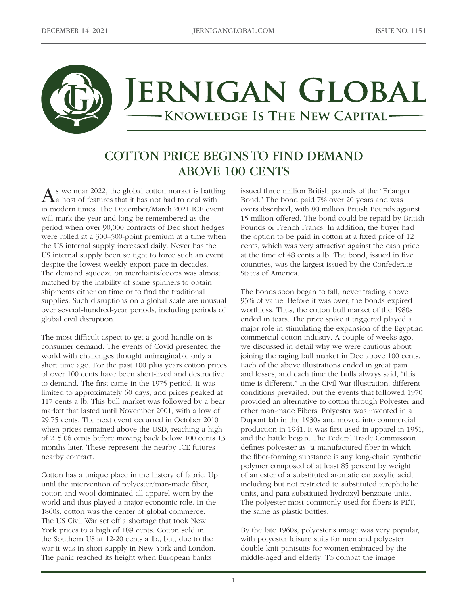

# ERNIGAN GLOBAL KNOWLEDGE IS THE NEW CAPITAL-

## COTTON PRICE BEGINS TO FIND DEMAND ABOVE 100 CENTS

 $\mathbf{A}$ s we near 2022, the global cotton market is battling a host of features that it has not had to deal with in modern times. The December/March 2021 ICE event will mark the year and long be remembered as the period when over 90,000 contracts of Dec short hedges were rolled at a 300–500-point premium at a time when the US internal supply increased daily. Never has the US internal supply been so tight to force such an event despite the lowest weekly export pace in decades. The demand squeeze on merchants/coops was almost matched by the inability of some spinners to obtain shipments either on time or to find the traditional supplies. Such disruptions on a global scale are unusual over several-hundred-year periods, including periods of global civil disruption.

The most difficult aspect to get a good handle on is consumer demand. The events of Covid presented the world with challenges thought unimaginable only a short time ago. For the past 100 plus years cotton prices of over 100 cents have been short-lived and destructive to demand. The first came in the 1975 period. It was limited to approximately 60 days, and prices peaked at 117 cents a lb. This bull market was followed by a bear market that lasted until November 2001, with a low of 29.75 cents. The next event occurred in October 2010 when prices remained above the USD, reaching a high of 215.06 cents before moving back below 100 cents 13 months later. These represent the nearby ICE futures nearby contract.

Cotton has a unique place in the history of fabric. Up until the intervention of polyester/man-made fiber, cotton and wool dominated all apparel worn by the world and thus played a major economic role. In the 1860s, cotton was the center of global commerce. The US Civil War set off a shortage that took New York prices to a high of 189 cents. Cotton sold in the Southern US at 12-20 cents a lb., but, due to the war it was in short supply in New York and London. The panic reached its height when European banks

issued three million British pounds of the "Erlanger Bond." The bond paid 7% over 20 years and was oversubscribed, with 80 million British Pounds against 15 million offered. The bond could be repaid by British Pounds or French Francs. In addition, the buyer had the option to be paid in cotton at a fixed price of 12 cents, which was very attractive against the cash price at the time of 48 cents a lb. The bond, issued in five countries, was the largest issued by the Confederate States of America.

The bonds soon began to fall, never trading above 95% of value. Before it was over, the bonds expired worthless. Thus, the cotton bull market of the 1980s ended in tears. The price spike it triggered played a major role in stimulating the expansion of the Egyptian commercial cotton industry. A couple of weeks ago, we discussed in detail why we were cautious about joining the raging bull market in Dec above 100 cents. Each of the above illustrations ended in great pain and losses, and each time the bulls always said, "this time is different." In the Civil War illustration, different conditions prevailed, but the events that followed 1970 provided an alternative to cotton through Polyester and other man-made Fibers. Polyester was invented in a Dupont lab in the 1930s and moved into commercial production in 1941. It was first used in apparel in 1951, and the battle began. The Federal Trade Commission defines polyester as "a manufactured fiber in which the fiber-forming substance is any long-chain synthetic polymer composed of at least 85 percent by weight of an ester of a substituted aromatic carboxylic acid, including but not restricted to substituted terephthalic units, and para substituted hydroxyl-benzoate units. The polyester most commonly used for fibers is PET, the same as plastic bottles.

By the late 1960s, polyester's image was very popular, with polyester leisure suits for men and polyester double-knit pantsuits for women embraced by the middle-aged and elderly. To combat the image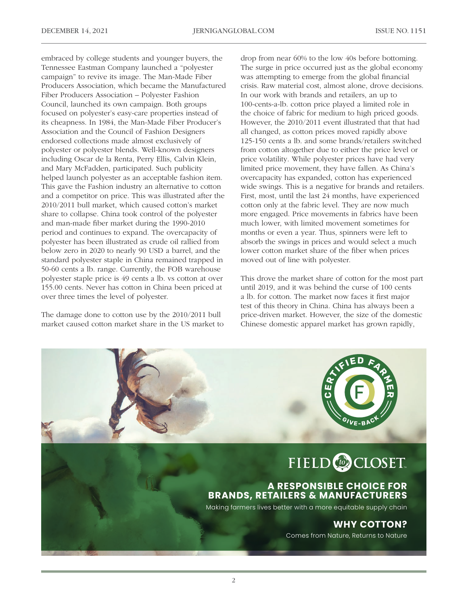embraced by college students and younger buyers, the Tennessee Eastman Company launched a "polyester campaign" to revive its image. The Man-Made Fiber Producers Association, which became the Manufactured Fiber Producers Association – Polyester Fashion Council, launched its own campaign. Both groups focused on polyester's easy-care properties instead of its cheapness. In 1984, the Man-Made Fiber Producer's Association and the Council of Fashion Designers endorsed collections made almost exclusively of polyester or polyester blends. Well-known designers including Oscar de la Renta, Perry Ellis, Calvin Klein, and Mary McFadden, participated. Such publicity helped launch polyester as an acceptable fashion item. This gave the Fashion industry an alternative to cotton and a competitor on price. This was illustrated after the 2010/2011 bull market, which caused cotton's market share to collapse. China took control of the polyester and man-made fiber market during the 1990-2010 period and continues to expand. The overcapacity of polyester has been illustrated as crude oil rallied from below zero in 2020 to nearly 90 USD a barrel, and the standard polyester staple in China remained trapped in 50-60 cents a lb. range. Currently, the FOB warehouse polyester staple price is 49 cents a lb. vs cotton at over 155.00 cents. Never has cotton in China been priced at over three times the level of polyester.

The damage done to cotton use by the 2010/2011 bull market caused cotton market share in the US market to drop from near 60% to the low 40s before bottoming. The surge in price occurred just as the global economy was attempting to emerge from the global financial crisis. Raw material cost, almost alone, drove decisions. In our work with brands and retailers, an up to 100-cents-a-lb. cotton price played a limited role in the choice of fabric for medium to high priced goods. However, the 2010/2011 event illustrated that that had all changed, as cotton prices moved rapidly above 125-150 cents a lb. and some brands/retailers switched from cotton altogether due to either the price level or price volatility. While polyester prices have had very limited price movement, they have fallen. As China's overcapacity has expanded, cotton has experienced wide swings. This is a negative for brands and retailers. First, most, until the last 24 months, have experienced cotton only at the fabric level. They are now much more engaged. Price movements in fabrics have been much lower, with limited movement sometimes for months or even a year. Thus, spinners were left to absorb the swings in prices and would select a much lower cotton market share of the fiber when prices moved out of line with polyester.

This drove the market share of cotton for the most part until 2019, and it was behind the curse of 100 cents a lb. for cotton. The market now faces it first major test of this theory in China. China has always been a price-driven market. However, the size of the domestic Chinese domestic apparel market has grown rapidly,

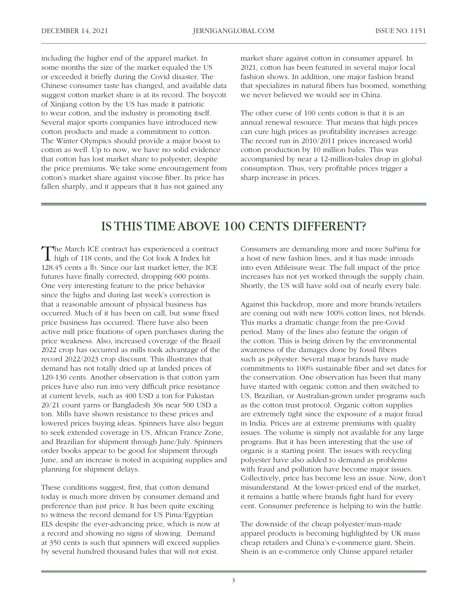including the higher end of the apparel market. In some months the size of the market equaled the US or exceeded it briefly during the Covid disaster. The Chinese consumer taste has changed, and available data suggest cotton market share is at its record. The boycott of Xinjiang cotton by the US has made it patriotic to wear cotton, and the industry is promoting itself. Several major sports companies have introduced new cotton products and made a commitment to cotton. The Winter Olympics should provide a major boost to cotton as well. Up to now, we have no solid evidence that cotton has lost market share to polyester, despite the price premiums. We take some encouragement from cotton's market share against viscose fiber. Its price has fallen sharply, and it appears that it has not gained any

market share against cotton in consumer apparel. In 2021, cotton has been featured in several major local fashion shows. In addition, one major fashion brand that specializes in natural fibers has boomed, something we never believed we would see in China.

The other curse of 100 cents cotton is that it is an annual renewal resource. That means that high prices can cure high prices as profitability increases acreage. The record run in 2010/2011 prices increased world cotton production by 10 million bales. This was accompanied by near a 12-million-bales drop in global consumption. Thus, very profitable prices trigger a sharp increase in prices.

#### IS THIS TIME ABOVE 100 CENTS DIFFERENT?

The March ICE contract has experienced a contract  $\perp$  high of 118 cents, and the Cot look A Index hit 128.45 cents a lb. Since our last market letter, the ICE futures have finally corrected, dropping 600 points. One very interesting feature to the price behavior since the highs and during last week's correction is that a reasonable amount of physical business has occurred. Much of it has been on call, but some fixed price business has occurred. There have also been active mill price fixations of open purchases during the price weakness. Also, increased coverage of the Brazil 2022 crop has occurred as mills took advantage of the record 2022/2023 crop discount. This illustrates that demand has not totally dried up at landed prices of 120-130 cents. Another observation is that cotton yarn prices have also run into very difficult price resistance at current levels, such as 400 USD a ton for Pakistan 20/21 count yarns or Bangladesh 30s near 500 USD a ton. Mills have shown resistance to these prices and lowered prices buying ideas. Spinners have also begun to seek extended coverage in US, African France Zone, and Brazilian for shipment through June/July. Spinners order books appear to be good for shipment through June, and an increase is noted in acquiring supplies and planning for shipment delays.

These conditions suggest, first, that cotton demand today is much more driven by consumer demand and preference than just price. It has been quite exciting to witness the record demand for US Pima/Egyptian ELS despite the ever-advancing price, which is now at a record and showing no signs of slowing. Demand at 350 cents is such that spinners will exceed supplies by several hundred thousand bales that will not exist.

Consumers are demanding more and more SuPima for a host of new fashion lines, and it has made inroads into even Athleisure wear. The full impact of the price increases has not yet worked through the supply chain. Shortly, the US will have sold out of nearly every bale.

Against this backdrop, more and more brands/retailers are coming out with new 100% cotton lines, not blends. This marks a dramatic change from the pre-Covid period. Many of the lines also feature the origin of the cotton. This is being driven by the environmental awareness of the damages done by fossil fibers such as polyester. Several major brands have made commitments to 100% sustainable fiber and set dates for the conservation. One observation has been that many have started with organic cotton and then switched to US, Brazilian, or Australian-grown under programs such as the cotton trust protocol. Organic cotton supplies are extremely tight since the exposure of a major fraud in India. Prices are at extreme premiums with quality issues. The volume is simply not available for any large programs. But it has been interesting that the use of organic is a starting point. The issues with recycling polyester have also added to demand as problems with fraud and pollution have become major issues. Collectively, price has become less an issue. Now, don't misunderstand. At the lower-priced end of the market, it remains a battle where brands fight hard for every cent. Consumer preference is helping to win the battle.

The downside of the cheap polyester/man-made apparel products is becoming highlighted by UK mass cheap retailers and China's e-commerce giant, Shein. Shein is an e-commerce only Chinse apparel retailer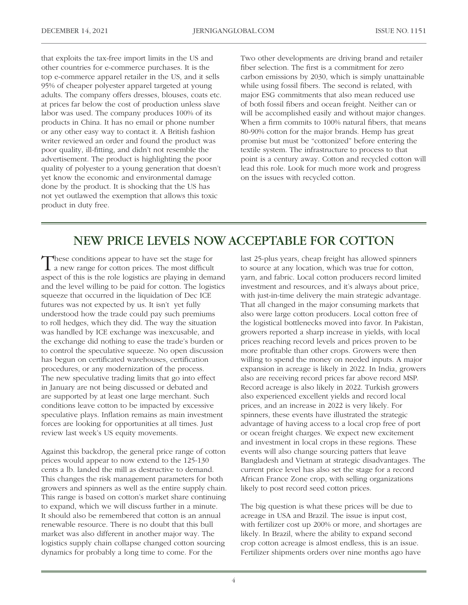that exploits the tax-free import limits in the US and other countries for e-commerce purchases. It is the top e-commerce apparel retailer in the US, and it sells 95% of cheaper polyester apparel targeted at young adults. The company offers dresses, blouses, coats etc. at prices far below the cost of production unless slave labor was used. The company produces 100% of its products in China. It has no email or phone number or any other easy way to contact it. A British fashion writer reviewed an order and found the product was poor quality, ill-fitting, and didn't not resemble the advertisement. The product is highlighting the poor quality of polyester to a young generation that doesn't yet know the economic and environmental damage done by the product. It is shocking that the US has not yet outlawed the exemption that allows this toxic product in duty free.

Two other developments are driving brand and retailer fiber selection. The first is a commitment for zero carbon emissions by 2030, which is simply unattainable while using fossil fibers. The second is related, with major ESG commitments that also mean reduced use of both fossil fibers and ocean freight. Neither can or will be accomplished easily and without major changes. When a firm commits to 100% natural fibers, that means 80-90% cotton for the major brands. Hemp has great promise but must be "cottonized" before entering the textile system. The infrastructure to process to that point is a century away. Cotton and recycled cotton will lead this role. Look for much more work and progress on the issues with recycled cotton.

## NEW PRICE LEVELS NOW ACCEPTABLE FOR COTTON

These conditions appear to have set the stage for a new range for cotton prices. The most difficult aspect of this is the role logistics are playing in demand and the level willing to be paid for cotton. The logistics squeeze that occurred in the liquidation of Dec ICE futures was not expected by us. It isn't yet fully understood how the trade could pay such premiums to roll hedges, which they did. The way the situation was handled by ICE exchange was inexcusable, and the exchange did nothing to ease the trade's burden or to control the speculative squeeze. No open discussion has begun on certificated warehouses, certification procedures, or any modernization of the process. The new speculative trading limits that go into effect in January are not being discussed or debated and are supported by at least one large merchant. Such conditions leave cotton to be impacted by excessive speculative plays. Inflation remains as main investment forces are looking for opportunities at all times. Just review last week's US equity movements.

Against this backdrop, the general price range of cotton prices would appear to now extend to the 125-130 cents a lb. landed the mill as destructive to demand. This changes the risk management parameters for both growers and spinners as well as the entire supply chain. This range is based on cotton's market share continuing to expand, which we will discuss further in a minute. It should also be remembered that cotton is an annual renewable resource. There is no doubt that this bull market was also different in another major way. The logistics supply chain collapse changed cotton sourcing dynamics for probably a long time to come. For the

last 25-plus years, cheap freight has allowed spinners to source at any location, which was true for cotton, yarn, and fabric. Local cotton producers record limited investment and resources, and it's always about price, with just-in-time delivery the main strategic advantage. That all changed in the major consuming markets that also were large cotton producers. Local cotton free of the logistical bottlenecks moved into favor. In Pakistan, growers reported a sharp increase in yields, with local prices reaching record levels and prices proven to be more profitable than other crops. Growers were then willing to spend the money on needed inputs. A major expansion in acreage is likely in 2022. In India, growers also are receiving record prices far above record MSP. Record acreage is also likely in 2022. Turkish growers also experienced excellent yields and record local prices, and an increase in 2022 is very likely. For spinners, these events have illustrated the strategic advantage of having access to a local crop free of port or ocean freight charges. We expect new excitement and investment in local crops in these regions. These events will also change sourcing patters that leave Bangladesh and Vietnam at strategic disadvantages. The current price level has also set the stage for a record African France Zone crop, with selling organizations likely to post record seed cotton prices.

The big question is what these prices will be due to acreage in USA and Brazil. The issue is input cost, with fertilizer cost up 200% or more, and shortages are likely. In Brazil, where the ability to expand second crop cotton acreage is almost endless, this is an issue. Fertilizer shipments orders over nine months ago have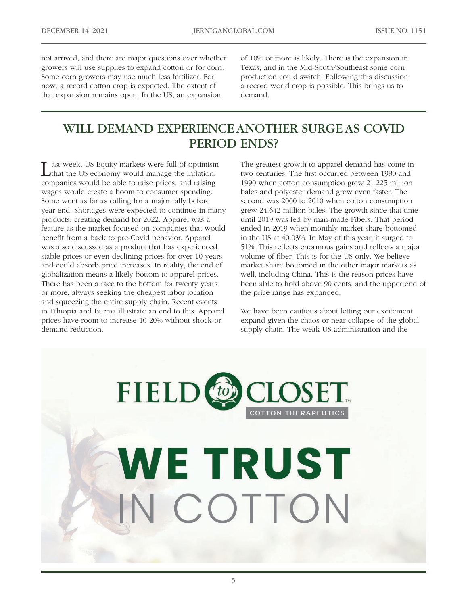not arrived, and there are major questions over whether growers will use supplies to expand cotton or for corn. Some corn growers may use much less fertilizer. For now, a record cotton crop is expected. The extent of that expansion remains open. In the US, an expansion

of 10% or more is likely. There is the expansion in Texas, and in the Mid-South/Southeast some corn production could switch. Following this discussion, a record world crop is possible. This brings us to demand.

#### WILL DEMAND EXPERIENCE ANOTHER SURGE AS COVID PERIOD ENDS?

Last week, US Equity markets were full of optimism<br>that the US economy would manage the inflation, companies would be able to raise prices, and raising wages would create a boom to consumer spending. Some went as far as calling for a major rally before year end. Shortages were expected to continue in many products, creating demand for 2022. Apparel was a feature as the market focused on companies that would benefit from a back to pre-Covid behavior. Apparel was also discussed as a product that has experienced stable prices or even declining prices for over 10 years and could absorb price increases. In reality, the end of globalization means a likely bottom to apparel prices. There has been a race to the bottom for twenty years or more, always seeking the cheapest labor location and squeezing the entire supply chain. Recent events in Ethiopia and Burma illustrate an end to this. Apparel prices have room to increase 10-20% without shock or demand reduction.

The greatest growth to apparel demand has come in two centuries. The first occurred between 1980 and 1990 when cotton consumption grew 21.225 million bales and polyester demand grew even faster. The second was 2000 to 2010 when cotton consumption grew 24.642 million bales. The growth since that time until 2019 was led by man-made Fibers. That period ended in 2019 when monthly market share bottomed in the US at 40.03%. In May of this year, it surged to 51%. This reflects enormous gains and reflects a major volume of fiber. This is for the US only. We believe market share bottomed in the other major markets as well, including China. This is the reason prices have been able to hold above 90 cents, and the upper end of the price range has expanded.

We have been cautious about letting our excitement expand given the chaos or near collapse of the global supply chain. The weak US administration and the

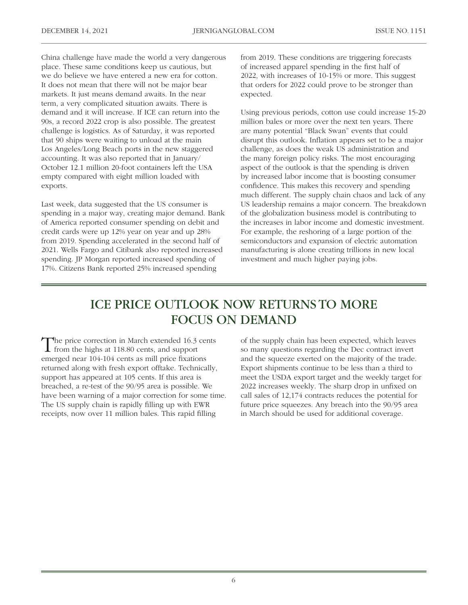China challenge have made the world a very dangerous place. These same conditions keep us cautious, but we do believe we have entered a new era for cotton. It does not mean that there will not be major bear markets. It just means demand awaits. In the near term, a very complicated situation awaits. There is demand and it will increase. If ICE can return into the 90s, a record 2022 crop is also possible. The greatest challenge is logistics. As of Saturday, it was reported that 90 ships were waiting to unload at the main Los Angeles/Long Beach ports in the new staggered accounting. It was also reported that in January/ October 12.1 million 20-foot containers left the USA empty compared with eight million loaded with exports.

Last week, data suggested that the US consumer is spending in a major way, creating major demand. Bank of America reported consumer spending on debit and credit cards were up 12% year on year and up 28% from 2019. Spending accelerated in the second half of 2021. Wells Fargo and Citibank also reported increased spending. JP Morgan reported increased spending of 17%. Citizens Bank reported 25% increased spending

from 2019. These conditions are triggering forecasts of increased apparel spending in the first half of 2022, with increases of 10-15% or more. This suggest that orders for 2022 could prove to be stronger than expected.

Using previous periods, cotton use could increase 15-20 million bales or more over the next ten years. There are many potential "Black Swan" events that could disrupt this outlook. Inflation appears set to be a major challenge, as does the weak US administration and the many foreign policy risks. The most encouraging aspect of the outlook is that the spending is driven by increased labor income that is boosting consumer confidence. This makes this recovery and spending much different. The supply chain chaos and lack of any US leadership remains a major concern. The breakdown of the globalization business model is contributing to the increases in labor income and domestic investment. For example, the reshoring of a large portion of the semiconductors and expansion of electric automation manufacturing is alone creating trillions in new local investment and much higher paying jobs.

### ICE PRICE OUTLOOK NOW RETURNS TO MORE FOCUS ON DEMAND

The price correction in March extended 16.3 cents from the highs at 118.80 cents, and support emerged near 104-104 cents as mill price fixations returned along with fresh export offtake. Technically, support has appeared at 105 cents. If this area is breached, a re-test of the 90/95 area is possible. We have been warning of a major correction for some time. The US supply chain is rapidly filling up with EWR receipts, now over 11 million bales. This rapid filling

of the supply chain has been expected, which leaves so many questions regarding the Dec contract invert and the squeeze exerted on the majority of the trade. Export shipments continue to be less than a third to meet the USDA export target and the weekly target for 2022 increases weekly. The sharp drop in unfixed on call sales of 12,174 contracts reduces the potential for future price squeezes. Any breach into the 90/95 area in March should be used for additional coverage.